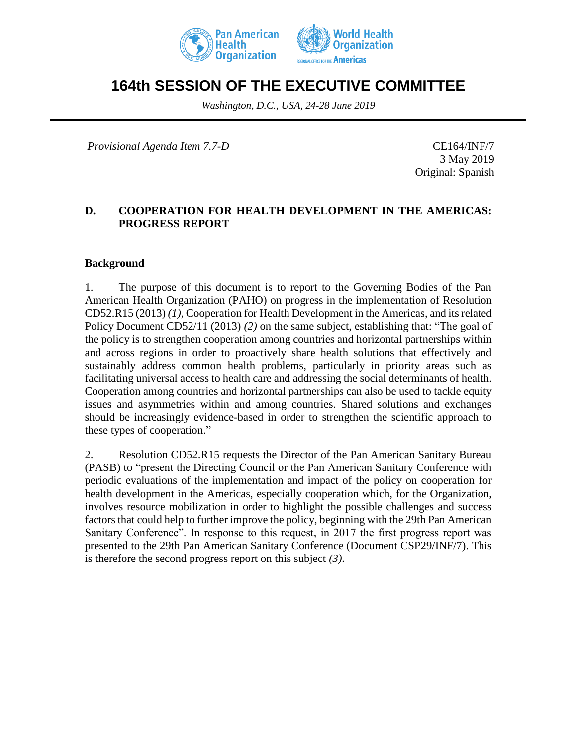



# **164th SESSION OF THE EXECUTIVE COMMITTEE**

*Washington, D.C., USA, 24-28 June 2019*

*Provisional Agenda Item 7.7-D* CE164/INF/7

3 May 2019 Original: Spanish

#### **D. COOPERATION FOR HEALTH DEVELOPMENT IN THE AMERICAS: PROGRESS REPORT**

#### **Background**

1. The purpose of this document is to report to the Governing Bodies of the Pan American Health Organization (PAHO) on progress in the implementation of Resolution CD52.R15 (2013) *(1)*, Cooperation for Health Development in the Americas, and its related Policy Document CD52/11 (2013) *(2)* on the same subject, establishing that: "The goal of the policy is to strengthen cooperation among countries and horizontal partnerships within and across regions in order to proactively share health solutions that effectively and sustainably address common health problems, particularly in priority areas such as facilitating universal access to health care and addressing the social determinants of health. Cooperation among countries and horizontal partnerships can also be used to tackle equity issues and asymmetries within and among countries. Shared solutions and exchanges should be increasingly evidence-based in order to strengthen the scientific approach to these types of cooperation."

2. Resolution CD52.R15 requests the Director of the Pan American Sanitary Bureau (PASB) to "present the Directing Council or the Pan American Sanitary Conference with periodic evaluations of the implementation and impact of the policy on cooperation for health development in the Americas, especially cooperation which, for the Organization, involves resource mobilization in order to highlight the possible challenges and success factors that could help to further improve the policy, beginning with the 29th Pan American Sanitary Conference". In response to this request, in 2017 the first progress report was presented to the 29th Pan American Sanitary Conference (Document CSP29/INF/7). This is therefore the second progress report on this subject *(3)*.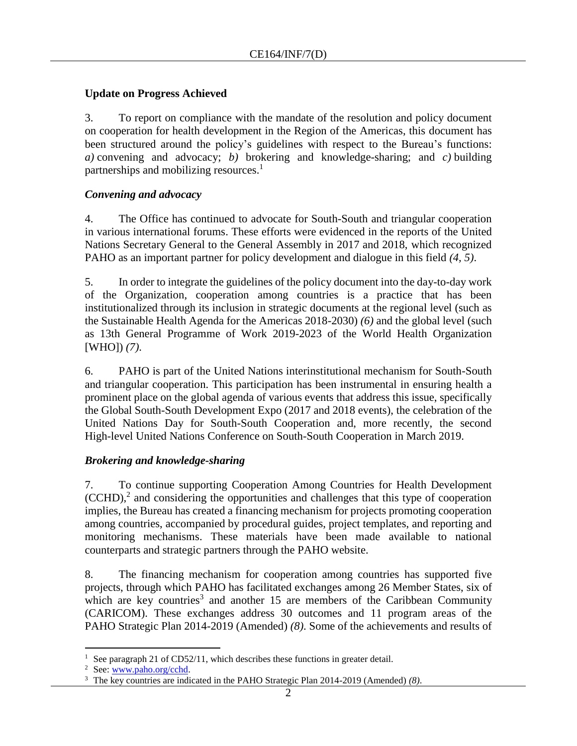## **Update on Progress Achieved**

3. To report on compliance with the mandate of the resolution and policy document on cooperation for health development in the Region of the Americas, this document has been structured around the policy's guidelines with respect to the Bureau's functions: *a)* convening and advocacy; *b)* brokering and knowledge-sharing; and *c)* building partnerships and mobilizing resources.<sup>1</sup>

## *Convening and advocacy*

4. The Office has continued to advocate for South-South and triangular cooperation in various international forums. These efforts were evidenced in the reports of the United Nations Secretary General to the General Assembly in 2017 and 2018, which recognized PAHO as an important partner for policy development and dialogue in this field *(4, 5)*.

5. In order to integrate the guidelines of the policy document into the day-to-day work of the Organization, cooperation among countries is a practice that has been institutionalized through its inclusion in strategic documents at the regional level (such as the Sustainable Health Agenda for the Americas 2018-2030) *(6)* and the global level (such as 13th General Programme of Work 2019-2023 of the World Health Organization [WHO]) *(7)*.

6. PAHO is part of the United Nations interinstitutional mechanism for South-South and triangular cooperation. This participation has been instrumental in ensuring health a prominent place on the global agenda of various events that address this issue, specifically the Global South-South Development Expo (2017 and 2018 events), the celebration of the United Nations Day for South-South Cooperation and, more recently, the second High-level United Nations Conference on South-South Cooperation in March 2019.

# *Brokering and knowledge-sharing*

7. To continue supporting Cooperation Among Countries for Health Development  $(CCHD),<sup>2</sup>$  and considering the opportunities and challenges that this type of cooperation implies, the Bureau has created a financing mechanism for projects promoting cooperation among countries, accompanied by procedural guides, project templates, and reporting and monitoring mechanisms. These materials have been made available to national counterparts and strategic partners through the PAHO website.

8. The financing mechanism for cooperation among countries has supported five projects, through which PAHO has facilitated exchanges among 26 Member States, six of which are key countries<sup>3</sup> and another 15 are members of the Caribbean Community (CARICOM). These exchanges address 30 outcomes and 11 program areas of the PAHO Strategic Plan 2014-2019 (Amended) *(8)*. Some of the achievements and results of

 $\overline{a}$ See paragraph 21 of CD52/11, which describes these functions in greater detail.

<sup>2</sup> See[: www.paho.org/cchd.](http://www.paho.org/cchd)

<sup>3</sup> The key countries are indicated in the PAHO Strategic Plan 2014-2019 (Amended) *(8)*.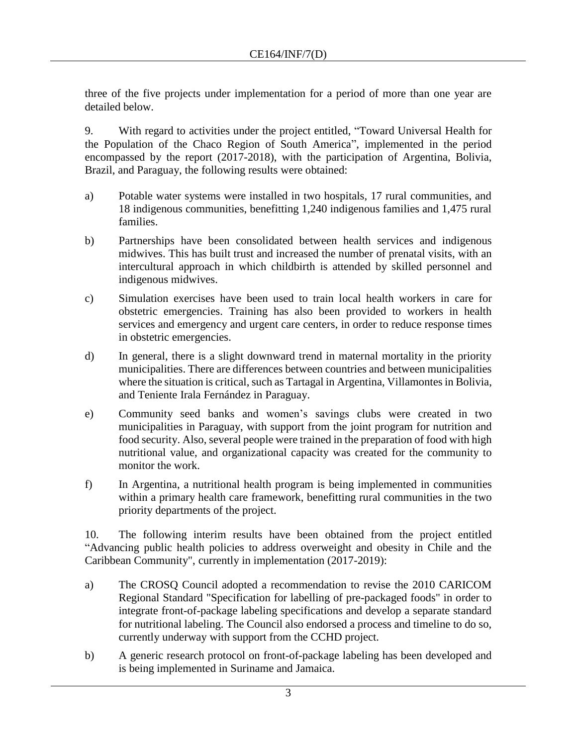three of the five projects under implementation for a period of more than one year are detailed below.

9. With regard to activities under the project entitled, "Toward Universal Health for the Population of the Chaco Region of South America", implemented in the period encompassed by the report (2017-2018), with the participation of Argentina, Bolivia, Brazil, and Paraguay, the following results were obtained:

- a) Potable water systems were installed in two hospitals, 17 rural communities, and 18 indigenous communities, benefitting 1,240 indigenous families and 1,475 rural families.
- b) Partnerships have been consolidated between health services and indigenous midwives. This has built trust and increased the number of prenatal visits, with an intercultural approach in which childbirth is attended by skilled personnel and indigenous midwives.
- c) Simulation exercises have been used to train local health workers in care for obstetric emergencies. Training has also been provided to workers in health services and emergency and urgent care centers, in order to reduce response times in obstetric emergencies.
- d) In general, there is a slight downward trend in maternal mortality in the priority municipalities. There are differences between countries and between municipalities where the situation is critical, such as Tartagal in Argentina, Villamontes in Bolivia, and Teniente Irala Fernández in Paraguay.
- e) Community seed banks and women's savings clubs were created in two municipalities in Paraguay, with support from the joint program for nutrition and food security. Also, several people were trained in the preparation of food with high nutritional value, and organizational capacity was created for the community to monitor the work.
- f) In Argentina, a nutritional health program is being implemented in communities within a primary health care framework, benefitting rural communities in the two priority departments of the project.

10. The following interim results have been obtained from the project entitled "Advancing public health policies to address overweight and obesity in Chile and the Caribbean Community", currently in implementation (2017-2019):

- a) The CROSQ Council adopted a recommendation to revise the 2010 CARICOM Regional Standard "Specification for labelling of pre-packaged foods" in order to integrate front-of-package labeling specifications and develop a separate standard for nutritional labeling. The Council also endorsed a process and timeline to do so, currently underway with support from the CCHD project.
- b) A generic research protocol on front-of-package labeling has been developed and is being implemented in Suriname and Jamaica.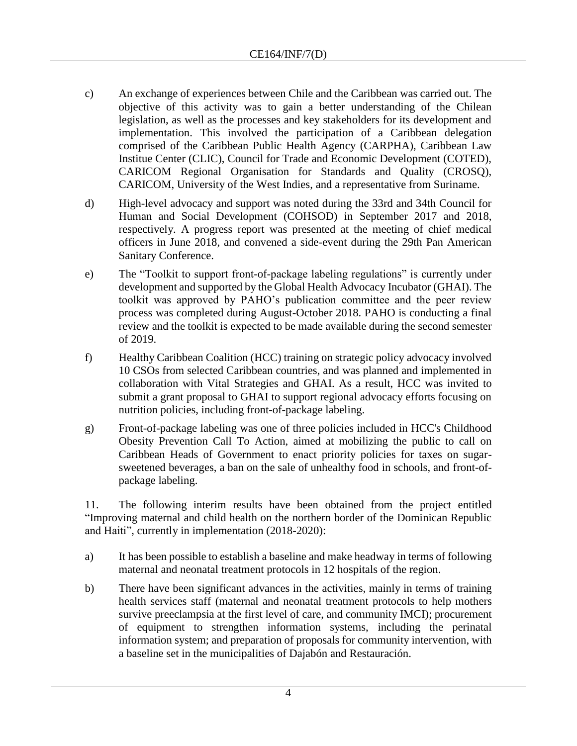- c) An exchange of experiences between Chile and the Caribbean was carried out. The objective of this activity was to gain a better understanding of the Chilean legislation, as well as the processes and key stakeholders for its development and implementation. This involved the participation of a Caribbean delegation comprised of the Caribbean Public Health Agency (CARPHA), Caribbean Law Institue Center (CLIC), Council for Trade and Economic Development (COTED), CARICOM Regional Organisation for Standards and Quality (CROSQ), CARICOM, University of the West Indies, and a representative from Suriname.
- d) High-level advocacy and support was noted during the 33rd and 34th Council for Human and Social Development (COHSOD) in September 2017 and 2018, respectively. A progress report was presented at the meeting of chief medical officers in June 2018, and convened a side-event during the 29th Pan American Sanitary Conference.
- e) The "Toolkit to support front-of-package labeling regulations" is currently under development and supported by the Global Health Advocacy Incubator (GHAI). The toolkit was approved by PAHO's publication committee and the peer review process was completed during August-October 2018. PAHO is conducting a final review and the toolkit is expected to be made available during the second semester of 2019.
- f) Healthy Caribbean Coalition (HCC) training on strategic policy advocacy involved 10 CSOs from selected Caribbean countries, and was planned and implemented in collaboration with Vital Strategies and GHAI. As a result, HCC was invited to submit a grant proposal to GHAI to support regional advocacy efforts focusing on nutrition policies, including front-of-package labeling.
- g) Front-of-package labeling was one of three policies included in HCC's Childhood Obesity Prevention Call To Action, aimed at mobilizing the public to call on Caribbean Heads of Government to enact priority policies for taxes on sugarsweetened beverages, a ban on the sale of unhealthy food in schools, and front-ofpackage labeling.

11. The following interim results have been obtained from the project entitled "Improving maternal and child health on the northern border of the Dominican Republic and Haiti", currently in implementation (2018-2020):

- a) It has been possible to establish a baseline and make headway in terms of following maternal and neonatal treatment protocols in 12 hospitals of the region.
- b) There have been significant advances in the activities, mainly in terms of training health services staff (maternal and neonatal treatment protocols to help mothers survive preeclampsia at the first level of care, and community IMCI); procurement of equipment to strengthen information systems, including the perinatal information system; and preparation of proposals for community intervention, with a baseline set in the municipalities of Dajabón and Restauración.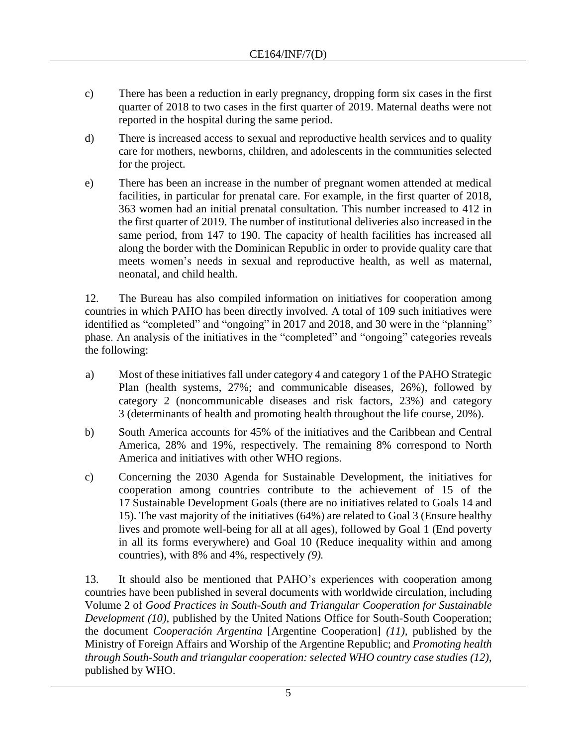- c) There has been a reduction in early pregnancy, dropping form six cases in the first quarter of 2018 to two cases in the first quarter of 2019. Maternal deaths were not reported in the hospital during the same period.
- d) There is increased access to sexual and reproductive health services and to quality care for mothers, newborns, children, and adolescents in the communities selected for the project.
- e) There has been an increase in the number of pregnant women attended at medical facilities, in particular for prenatal care. For example, in the first quarter of 2018, 363 women had an initial prenatal consultation. This number increased to 412 in the first quarter of 2019. The number of institutional deliveries also increased in the same period, from 147 to 190. The capacity of health facilities has increased all along the border with the Dominican Republic in order to provide quality care that meets women's needs in sexual and reproductive health, as well as maternal, neonatal, and child health.

12. The Bureau has also compiled information on initiatives for cooperation among countries in which PAHO has been directly involved. A total of 109 such initiatives were identified as "completed" and "ongoing" in 2017 and 2018, and 30 were in the "planning" phase. An analysis of the initiatives in the "completed" and "ongoing" categories reveals the following:

- a) Most of these initiatives fall under category 4 and category 1 of the PAHO Strategic Plan (health systems, 27%; and communicable diseases, 26%), followed by category 2 (noncommunicable diseases and risk factors, 23%) and category 3 (determinants of health and promoting health throughout the life course, 20%).
- b) South America accounts for 45% of the initiatives and the Caribbean and Central America, 28% and 19%, respectively. The remaining 8% correspond to North America and initiatives with other WHO regions.
- c) Concerning the 2030 Agenda for Sustainable Development, the initiatives for cooperation among countries contribute to the achievement of 15 of the 17 Sustainable Development Goals (there are no initiatives related to Goals 14 and 15). The vast majority of the initiatives (64%) are related to Goal 3 (Ensure healthy lives and promote well-being for all at all ages), followed by Goal 1 (End poverty in all its forms everywhere) and Goal 10 (Reduce inequality within and among countries), with 8% and 4%, respectively *(9).*

13. It should also be mentioned that PAHO's experiences with cooperation among countries have been published in several documents with worldwide circulation, including Volume 2 of *Good Practices in South-South and Triangular Cooperation for Sustainable Development (10)*, published by the United Nations Office for South-South Cooperation; the document *Cooperación Argentina* [Argentine Cooperation] *(11),* published by the Ministry of Foreign Affairs and Worship of the Argentine Republic; and *Promoting health through South-South and triangular cooperation: selected WHO country case studies (12)*, published by WHO.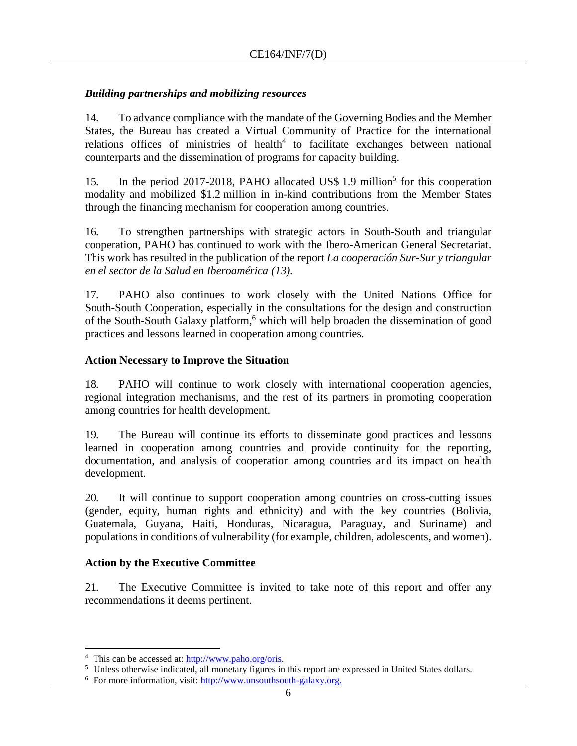## *Building partnerships and mobilizing resources*

14. To advance compliance with the mandate of the Governing Bodies and the Member States, the Bureau has created a Virtual Community of Practice for the international relations offices of ministries of health $4$  to facilitate exchanges between national counterparts and the dissemination of programs for capacity building.

15. In the period 2017-2018, PAHO allocated US\$ 1.9 million<sup>5</sup> for this cooperation modality and mobilized \$1.2 million in in-kind contributions from the Member States through the financing mechanism for cooperation among countries.

16. To strengthen partnerships with strategic actors in South-South and triangular cooperation, PAHO has continued to work with the Ibero-American General Secretariat. This work has resulted in the publication of the report *La cooperación Sur-Sur y triangular en el sector de la Salud en Iberoamérica (13)*.

17. PAHO also continues to work closely with the United Nations Office for South-South Cooperation, especially in the consultations for the design and construction of the South-South Galaxy platform, <sup>6</sup> which will help broaden the dissemination of good practices and lessons learned in cooperation among countries.

## **Action Necessary to Improve the Situation**

18. PAHO will continue to work closely with international cooperation agencies, regional integration mechanisms, and the rest of its partners in promoting cooperation among countries for health development.

19. The Bureau will continue its efforts to disseminate good practices and lessons learned in cooperation among countries and provide continuity for the reporting, documentation, and analysis of cooperation among countries and its impact on health development.

20. It will continue to support cooperation among countries on cross-cutting issues (gender, equity, human rights and ethnicity) and with the key countries (Bolivia, Guatemala, Guyana, Haiti, Honduras, Nicaragua, Paraguay, and Suriname) and populations in conditions of vulnerability (for example, children, adolescents, and women).

## **Action by the Executive Committee**

21. The Executive Committee is invited to take note of this report and offer any recommendations it deems pertinent.

 $\overline{a}$ 

<sup>4</sup> This can be accessed at: [http://www.paho.org/oris.](http://www.paho.org/oris)

<sup>5</sup> Unless otherwise indicated, all monetary figures in this report are expressed in United States dollars.

<sup>&</sup>lt;sup>6</sup> For more information, visit: http://www.unsouthsouth-galaxy.org.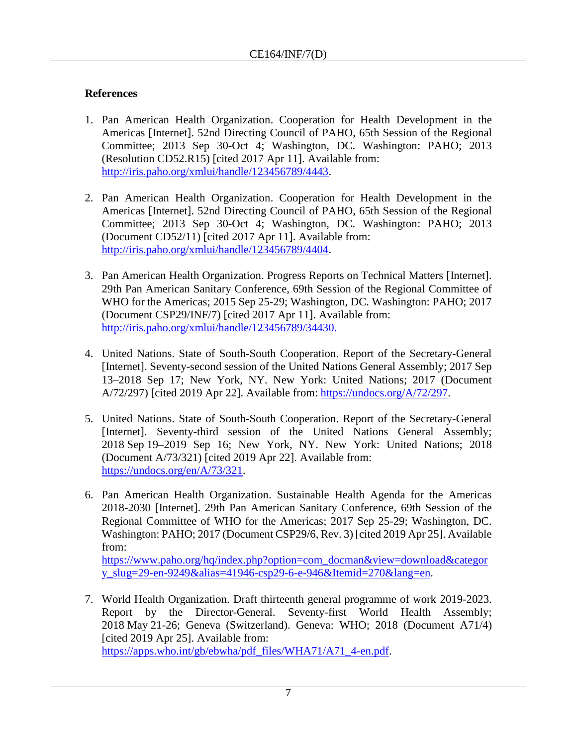# **References**

- 1. Pan American Health Organization. Cooperation for Health Development in the Americas [Internet]. 52nd Directing Council of PAHO, 65th Session of the Regional Committee; 2013 Sep 30-Oct 4; Washington, DC. Washington: PAHO; 2013 (Resolution CD52.R15) [cited 2017 Apr 11]. Available from: [http://iris.paho.org/xmlui/handle/123456789/4443.](http://iris.paho.org/xmlui/handle/123456789/4443)
- 2. Pan American Health Organization. Cooperation for Health Development in the Americas [Internet]. 52nd Directing Council of PAHO, 65th Session of the Regional Committee; 2013 Sep 30-Oct 4; Washington, DC. Washington: PAHO; 2013 (Document CD52/11) [cited 2017 Apr 11]. Available from: [http://iris.paho.org/xmlui/handle/123456789/4404.](http://iris.paho.org/xmlui/handle/123456789/4404)
- 3. Pan American Health Organization. Progress Reports on Technical Matters [Internet]. 29th Pan American Sanitary Conference, 69th Session of the Regional Committee of WHO for the Americas; 2015 Sep 25-29; Washington, DC. Washington: PAHO; 2017 (Document CSP29/INF/7) [cited 2017 Apr 11]. Available from: [http://iris.paho.org/xmlui/handle/123456789/34430.](http://iris.paho.org/xmlui/handle/123456789/34430)
- 4. United Nations. State of South-South Cooperation. Report of the Secretary-General [Internet]. Seventy-second session of the United Nations General Assembly; 2017 Sep 13–2018 Sep 17; New York, NY. New York: United Nations; 2017 (Document A/72/297) [cited 2019 Apr 22]. Available from: [https://undocs.org/A/72/297.](https://undocs.org/A/72/297)
- 5. United Nations. State of South-South Cooperation. Report of the Secretary-General [Internet]. Seventy-third session of the United Nations General Assembly; 2018 Sep 19–2019 Sep 16; New York, NY. New York: United Nations; 2018 (Document A/73/321) [cited 2019 Apr 22]. Available from: [https://undocs.org/en/A/73/321.](https://undocs.org/en/A/73/321)
- 6. Pan American Health Organization. Sustainable Health Agenda for the Americas 2018-2030 [Internet]. 29th Pan American Sanitary Conference, 69th Session of the Regional Committee of WHO for the Americas; 2017 Sep 25-29; Washington, DC. Washington: PAHO; 2017 (Document CSP29/6, Rev. 3) [cited 2019 Apr 25]. Available from:

[https://www.paho.org/hq/index.php?option=com\\_docman&view=download&categor](https://www.paho.org/hq/index.php?option=com_docman&view=download&category_slug=29-en-9249&alias=41946-csp29-6-e-946&Itemid=270&lang=en) [y\\_slug=29-en-9249&alias=41946-csp29-6-e-946&Itemid=270&lang=en.](https://www.paho.org/hq/index.php?option=com_docman&view=download&category_slug=29-en-9249&alias=41946-csp29-6-e-946&Itemid=270&lang=en)

7. World Health Organization. Draft thirteenth general programme of work 2019-2023. Report by the Director-General. Seventy-first World Health Assembly; 2018 May 21-26; Geneva (Switzerland). Geneva: WHO; 2018 (Document A71/4) [cited 2019 Apr 25]. Available from: [https://apps.who.int/gb/ebwha/pdf\\_files/WHA71/A71\\_4-en.pdf.](https://apps.who.int/gb/ebwha/pdf_files/WHA71/A71_4-en.pdf)